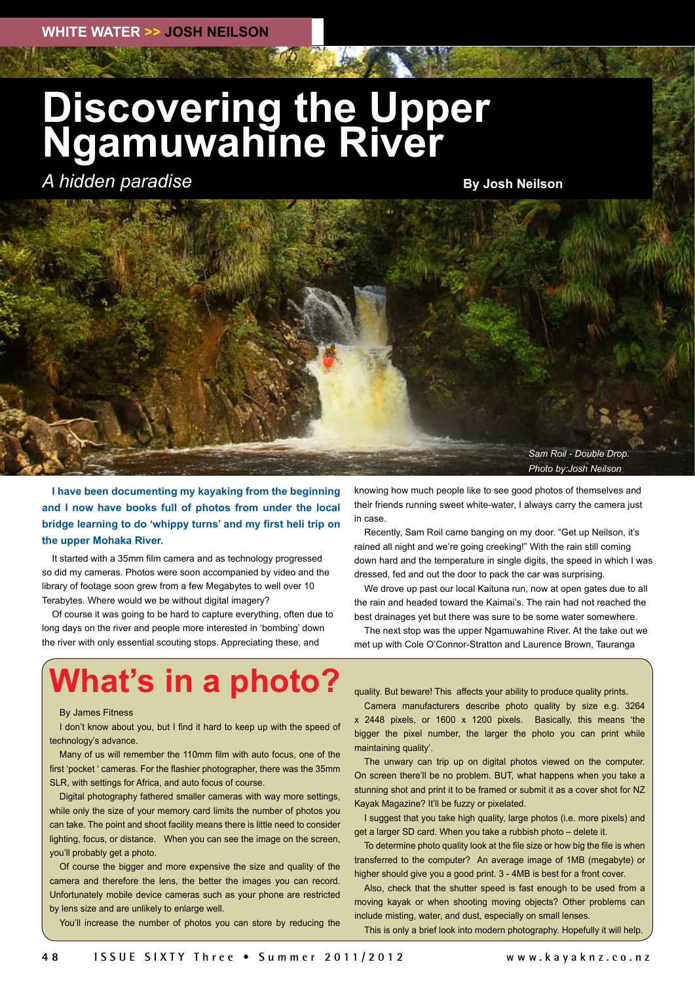## **Discovering the Upper Ngamuwahine River**

*A hidden paradise*

**By Josh Neilson**



**I have been documenting my kayaking from the beginning and I now have books full of photos from under the local bridge learning to do 'whippy turns' and my first heli trip on the upper Mohaka River.** 

It started with a 35mm film camera and as technology progressed so did my cameras. Photos were soon accompanied by video and the library of footage soon grew from a few Megabytes to well over 10 Terabytes. Where would we be without digital imagery?

Of course it was going to be hard to capture everything, often due to long days on the river and people more interested in 'bombing' down the river with only essential scouting stops. Appreciating these, and

knowing how much people like to see good photos of themselves and their friends running sweet white-water, I always carry the camera just in case.

Recently, Sam Roil came banging on my door. "Get up Neilson, it's rained all night and we're going creeking!" With the rain still coming down hard and the temperature in single digits, the speed in which I was dressed, fed and out the door to pack the car was surprising.

We drove up past our local Kaituna run, now at open gates due to all the rain and headed toward the Kaimai's. The rain had not reached the best drainages yet but there was sure to be some water somewhere.

The next stop was the upper Ngamuwahine River. At the take out we met up with Cole O'Connor-Stratton and Laurence Brown, Tauranga

### **What's in a photo?**

#### By James Fitness

I don't know about you, but I find it hard to keep up with the speed of technology's advance.

Many of us will remember the 110mm film with auto focus, one of the first 'pocket ' cameras. For the flashier photographer, there was the 35mm SLR, with settings for Africa, and auto focus of course.

Digital photography fathered smaller cameras with way more settings, while only the size of your memory card limits the number of photos you can take. The point and shoot facility means there is little need to consider lighting, focus, or distance. When you can see the image on the screen, you'll probably get a photo.

Of course the bigger and more expensive the size and quality of the camera and therefore the lens, the better the images you can record. Unfortunately mobile device cameras such as your phone are restricted by lens size and are unlikely to enlarge well.

You'll increase the number of photos you can store by reducing the

quality. But beware! This affects your ability to produce quality prints.

Camera manufacturers describe photo quality by size e.g. 3264 x 2448 pixels, or 1600 x 1200 pixels. Basically, this means 'the bigger the pixel number, the larger the photo you can print while maintaining quality'.

The unwary can trip up on digital photos viewed on the computer. On screen there'll be no problem. BUT, what happens when you take a stunning shot and print it to be framed or submit it as a cover shot for NZ Kayak Magazine? It'll be fuzzy or pixelated.

I suggest that you take high quality, large photos (i.e. more pixels) and get a larger SD card. When you take a rubbish photo – delete it.

To determine photo quality look at the file size or how big the file is when transferred to the computer? An average image of 1MB (megabyte) or higher should give you a good print. 3 - 4MB is best for a front cover.

Also, check that the shutter speed is fast enough to be used from a moving kayak or when shooting moving objects? Other problems can include misting, water, and dust, especially on small lenses.

This is only a brief look into modern photography. Hopefully it will help.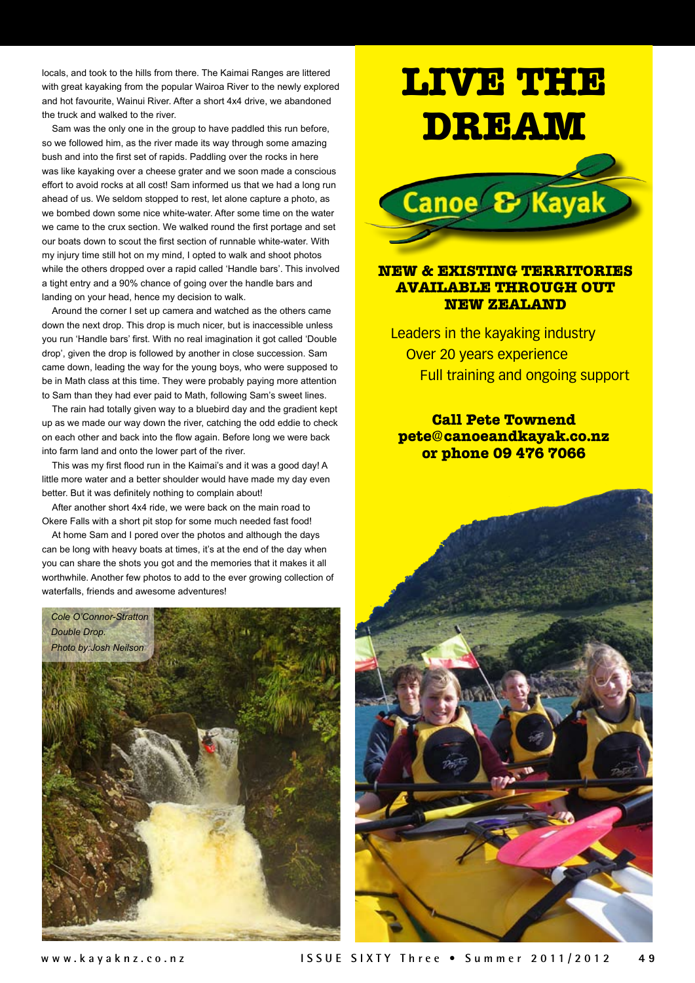locals, and took to the hills from there. The Kaimai Ranges are littered with great kayaking from the popular Wairoa River to the newly explored and hot favourite, Wainui River. After a short 4x4 drive, we abandoned the truck and walked to the river.

Sam was the only one in the group to have paddled this run before, so we followed him, as the river made its way through some amazing bush and into the first set of rapids. Paddling over the rocks in here was like kayaking over a cheese grater and we soon made a conscious effort to avoid rocks at all cost! Sam informed us that we had a long run ahead of us. We seldom stopped to rest, let alone capture a photo, as we bombed down some nice white-water. After some time on the water we came to the crux section. We walked round the first portage and set our boats down to scout the first section of runnable white-water. With my injury time still hot on my mind, I opted to walk and shoot photos while the others dropped over a rapid called 'Handle bars'. This involved a tight entry and a 90% chance of going over the handle bars and landing on your head, hence my decision to walk.

Around the corner I set up camera and watched as the others came down the next drop. This drop is much nicer, but is inaccessible unless you run 'Handle bars' first. With no real imagination it got called 'Double drop', given the drop is followed by another in close succession. Sam came down, leading the way for the young boys, who were supposed to be in Math class at this time. They were probably paying more attention to Sam than they had ever paid to Math, following Sam's sweet lines.

The rain had totally given way to a bluebird day and the gradient kept up as we made our way down the river, catching the odd eddie to check on each other and back into the flow again. Before long we were back into farm land and onto the lower part of the river.

This was my first flood run in the Kaimai's and it was a good day! A little more water and a better shoulder would have made my day even better. But it was definitely nothing to complain about!

After another short 4x4 ride, we were back on the main road to Okere Falls with a short pit stop for some much needed fast food!

At home Sam and I pored over the photos and although the days can be long with heavy boats at times, it's at the end of the day when you can share the shots you got and the memories that it makes it all worthwhile. Another few photos to add to the ever growing collection of waterfalls, friends and awesome adventures!



# **LIVE THE DREAM**



### **NEW & EXISTING TERRITORIES AVAILABLE THROUGH OUT NEW ZEALAND**

Leaders in the kayaking industry Over 20 years experience Full training and ongoing support

**Call Pete Townend pete@canoeandkayak.co.nz or phone 09 476 7066**